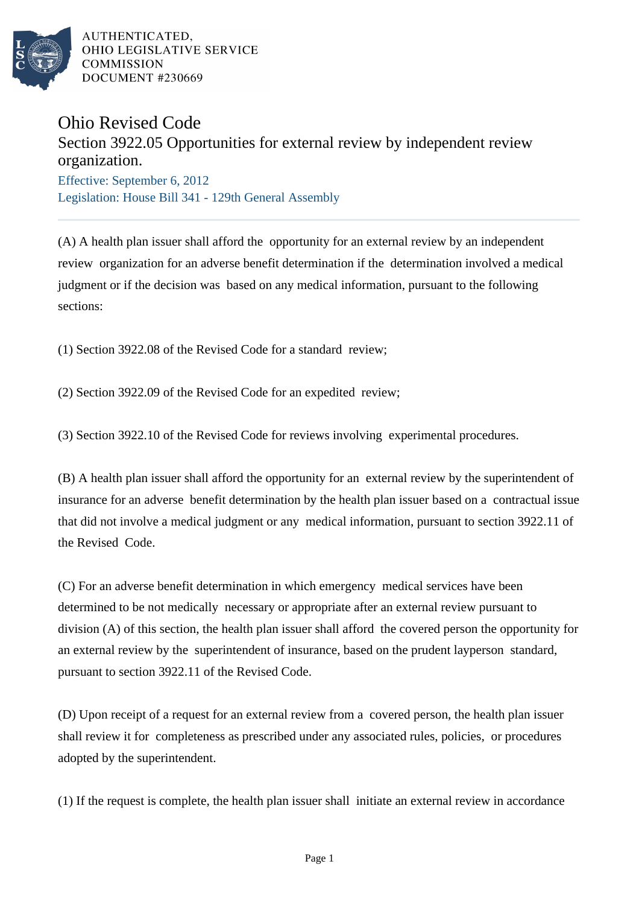

AUTHENTICATED. OHIO LEGISLATIVE SERVICE **COMMISSION DOCUMENT #230669** 

## Ohio Revised Code

## Section 3922.05 Opportunities for external review by independent review organization.

Effective: September 6, 2012 Legislation: House Bill 341 - 129th General Assembly

(A) A health plan issuer shall afford the opportunity for an external review by an independent review organization for an adverse benefit determination if the determination involved a medical judgment or if the decision was based on any medical information, pursuant to the following sections:

(1) Section 3922.08 of the Revised Code for a standard review;

(2) Section 3922.09 of the Revised Code for an expedited review;

(3) Section 3922.10 of the Revised Code for reviews involving experimental procedures.

(B) A health plan issuer shall afford the opportunity for an external review by the superintendent of insurance for an adverse benefit determination by the health plan issuer based on a contractual issue that did not involve a medical judgment or any medical information, pursuant to section 3922.11 of the Revised Code.

(C) For an adverse benefit determination in which emergency medical services have been determined to be not medically necessary or appropriate after an external review pursuant to division (A) of this section, the health plan issuer shall afford the covered person the opportunity for an external review by the superintendent of insurance, based on the prudent layperson standard, pursuant to section 3922.11 of the Revised Code.

(D) Upon receipt of a request for an external review from a covered person, the health plan issuer shall review it for completeness as prescribed under any associated rules, policies, or procedures adopted by the superintendent.

(1) If the request is complete, the health plan issuer shall initiate an external review in accordance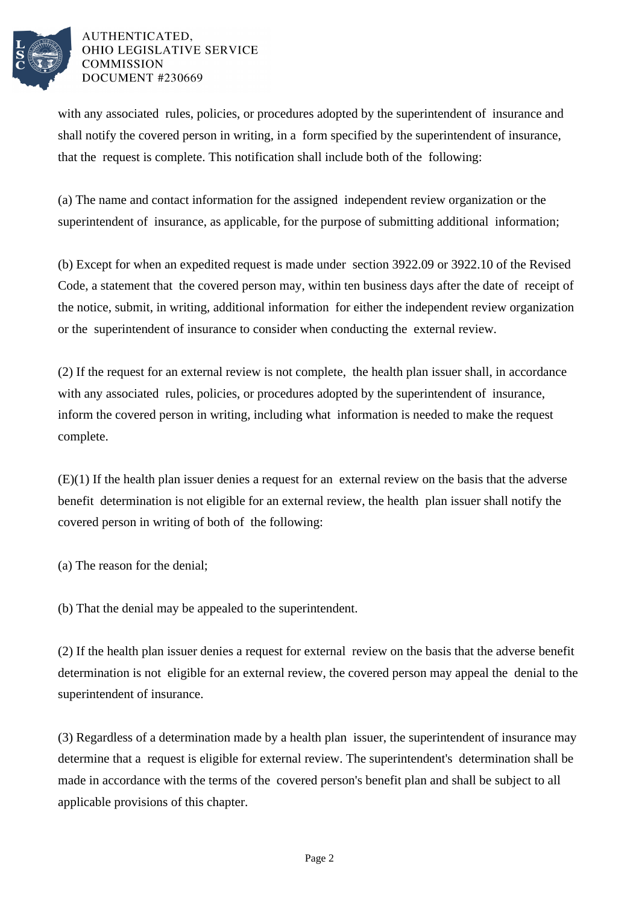

## AUTHENTICATED. OHIO LEGISLATIVE SERVICE **COMMISSION DOCUMENT #230669**

with any associated rules, policies, or procedures adopted by the superintendent of insurance and shall notify the covered person in writing, in a form specified by the superintendent of insurance, that the request is complete. This notification shall include both of the following:

(a) The name and contact information for the assigned independent review organization or the superintendent of insurance, as applicable, for the purpose of submitting additional information;

(b) Except for when an expedited request is made under section 3922.09 or 3922.10 of the Revised Code, a statement that the covered person may, within ten business days after the date of receipt of the notice, submit, in writing, additional information for either the independent review organization or the superintendent of insurance to consider when conducting the external review.

(2) If the request for an external review is not complete, the health plan issuer shall, in accordance with any associated rules, policies, or procedures adopted by the superintendent of insurance, inform the covered person in writing, including what information is needed to make the request complete.

(E)(1) If the health plan issuer denies a request for an external review on the basis that the adverse benefit determination is not eligible for an external review, the health plan issuer shall notify the covered person in writing of both of the following:

(a) The reason for the denial;

(b) That the denial may be appealed to the superintendent.

(2) If the health plan issuer denies a request for external review on the basis that the adverse benefit determination is not eligible for an external review, the covered person may appeal the denial to the superintendent of insurance.

(3) Regardless of a determination made by a health plan issuer, the superintendent of insurance may determine that a request is eligible for external review. The superintendent's determination shall be made in accordance with the terms of the covered person's benefit plan and shall be subject to all applicable provisions of this chapter.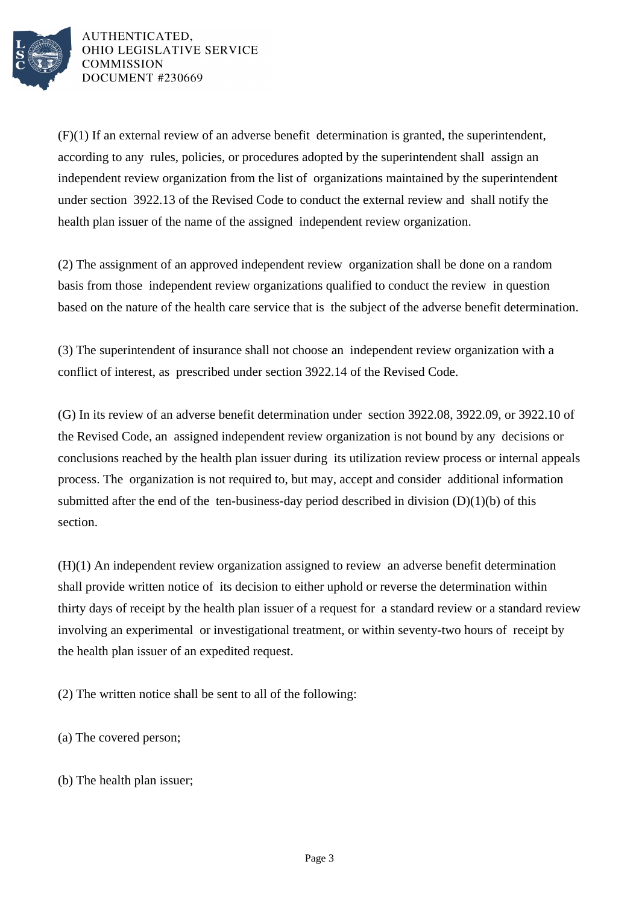

AUTHENTICATED. OHIO LEGISLATIVE SERVICE **COMMISSION DOCUMENT #230669** 

(F)(1) If an external review of an adverse benefit determination is granted, the superintendent, according to any rules, policies, or procedures adopted by the superintendent shall assign an independent review organization from the list of organizations maintained by the superintendent under section 3922.13 of the Revised Code to conduct the external review and shall notify the health plan issuer of the name of the assigned independent review organization.

(2) The assignment of an approved independent review organization shall be done on a random basis from those independent review organizations qualified to conduct the review in question based on the nature of the health care service that is the subject of the adverse benefit determination.

(3) The superintendent of insurance shall not choose an independent review organization with a conflict of interest, as prescribed under section 3922.14 of the Revised Code.

(G) In its review of an adverse benefit determination under section 3922.08, 3922.09, or 3922.10 of the Revised Code, an assigned independent review organization is not bound by any decisions or conclusions reached by the health plan issuer during its utilization review process or internal appeals process. The organization is not required to, but may, accept and consider additional information submitted after the end of the ten-business-day period described in division  $(D)(1)(b)$  of this section.

(H)(1) An independent review organization assigned to review an adverse benefit determination shall provide written notice of its decision to either uphold or reverse the determination within thirty days of receipt by the health plan issuer of a request for a standard review or a standard review involving an experimental or investigational treatment, or within seventy-two hours of receipt by the health plan issuer of an expedited request.

(2) The written notice shall be sent to all of the following:

(a) The covered person;

(b) The health plan issuer;